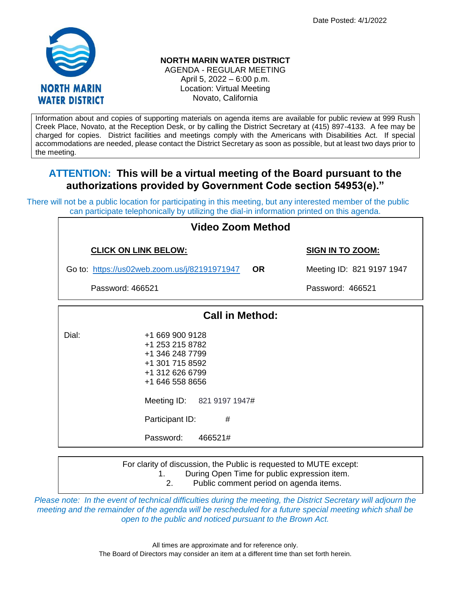Date Posted: 4/1/2022



# **NORTH MARIN WATER DISTRICT**

AGENDA - REGULAR MEETING April 5, 2022 – 6:00 p.m. Location: Virtual Meeting Novato, California

Information about and copies of supporting materials on agenda items are available for public review at 999 Rush Creek Place, Novato, at the Reception Desk, or by calling the District Secretary at (415) 897-4133. A fee may be charged for copies. District facilities and meetings comply with the Americans with Disabilities Act. If special accommodations are needed, please contact the District Secretary as soon as possible, but at least two days prior to the meeting.

# **ATTENTION: This will be a virtual meeting of the Board pursuant to the authorizations provided by Government Code section 54953(e)."**

There will not be a public location for participating in this meeting, but any interested member of the public can participate telephonically by utilizing the dial-in information printed on this agenda.

| Video Zoom Method                            |                                                                                                                                                                                              |  |                           |  |  |  |  |
|----------------------------------------------|----------------------------------------------------------------------------------------------------------------------------------------------------------------------------------------------|--|---------------------------|--|--|--|--|
|                                              | <b>CLICK ON LINK BELOW:</b>                                                                                                                                                                  |  | <b>SIGN IN TO ZOOM:</b>   |  |  |  |  |
| Go to: https://us02web.zoom.us/j/82191971947 |                                                                                                                                                                                              |  | Meeting ID: 821 9197 1947 |  |  |  |  |
| Password: 466521                             |                                                                                                                                                                                              |  | Password: 466521          |  |  |  |  |
| <b>Call in Method:</b>                       |                                                                                                                                                                                              |  |                           |  |  |  |  |
| Dial:                                        | +1 669 900 9128<br>+1 253 215 8782<br>+1 346 248 7799<br>+1 301 715 8592<br>+1 312 626 6799<br>+1 646 558 8656<br>Meeting ID: 821 9197 1947#<br>Participant ID:<br>#<br>Password:<br>466521# |  |                           |  |  |  |  |

For clarity of discussion, the Public is requested to MUTE except:

1. During Open Time for public expression item.

2. Public comment period on agenda items.

*Please note: In the event of technical difficulties during the meeting, the District Secretary will adjourn the meeting and the remainder of the agenda will be rescheduled for a future special meeting which shall be open to the public and noticed pursuant to the Brown Act.*

> All times are approximate and for reference only. The Board of Directors may consider an item at a different time than set forth herein.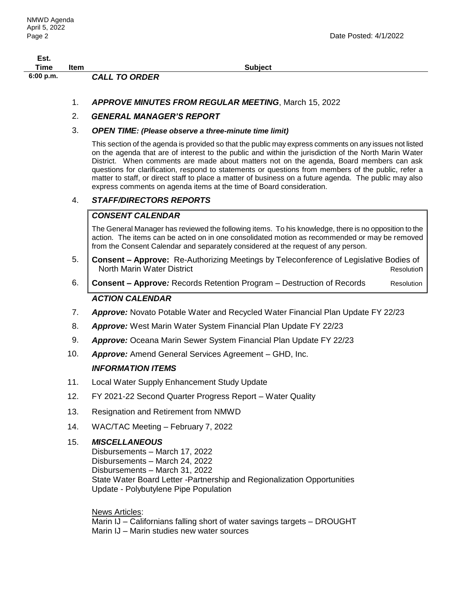| Est.        |      |                      |                |
|-------------|------|----------------------|----------------|
| Time        | Item |                      | <b>Subject</b> |
| $6:00$ p.m. |      | <b>CALL TO ORDER</b> |                |

1. *APPROVE MINUTES FROM REGULAR MEETING*, March 15, 2022

# 2. *GENERAL MANAGER'S REPORT*

#### 3. *OPEN TIME: (Please observe a three-minute time limit)*

This section of the agenda is provided so that the public may express comments on any issues not listed on the agenda that are of interest to the public and within the jurisdiction of the North Marin Water District. When comments are made about matters not on the agenda, Board members can ask questions for clarification, respond to statements or questions from members of the public, refer a matter to staff, or direct staff to place a matter of business on a future agenda. The public may also express comments on agenda items at the time of Board consideration.

### 4. *STAFF/DIRECTORS REPORTS*

# *CONSENT CALENDAR*

The General Manager has reviewed the following items. To his knowledge, there is no opposition to the action. The items can be acted on in one consolidated motion as recommended or may be removed from the Consent Calendar and separately considered at the request of any person.

- 5. **Consent – Approve:**Re-Authorizing Meetings by Teleconference of Legislative Bodies of North Marin Water District Resolution
- 6. **Consent – Approve***:* Records Retention Program Destruction of Records Resolution *ACTION CALENDAR*
- 7. *Approve:* Novato Potable Water and Recycled Water Financial Plan Update FY 22/23
- 8. *Approve:* West Marin Water System Financial Plan Update FY 22/23
- 9. *Approve:* Oceana Marin Sewer System Financial Plan Update FY 22/23
- 10. *Approve:* Amend General Services Agreement GHD, Inc.

#### *INFORMATION ITEMS*

- 11. Local Water Supply Enhancement Study Update
- 12. FY 2021-22 Second Quarter Progress Report Water Quality
- 13. Resignation and Retirement from NMWD
- 14. WAC/TAC Meeting February 7, 2022

#### 15. *MISCELLANEOUS*

Disbursements – March 17, 2022 Disbursements – March 24, 2022 Disbursements – March 31, 2022 State Water Board Letter -Partnership and Regionalization Opportunities Update - Polybutylene Pipe Population

News Articles:

Marin IJ – Californians falling short of water savings targets – DROUGHT Marin IJ – Marin studies new water sources